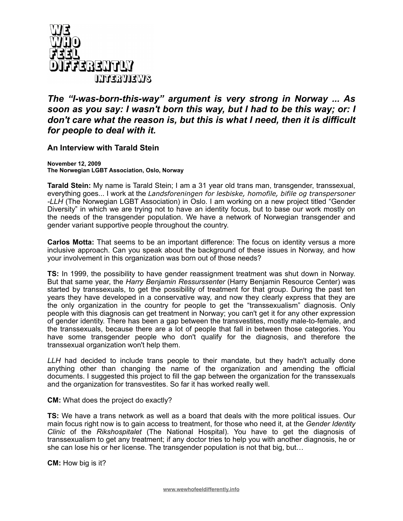

## *The "I-was-born-this-way" argument is very strong in Norway ... As soon as you say: I wasn't born this way, but I had to be this way; or: I don't care what the reason is, but this is what I need, then it is difficult for people to deal with it.*

## **An Interview with Tarald Stein**

**November 12, 2009 The Norwegian LGBT Association, Oslo, Norway**

**Tarald Stein:** My name is Tarald Stein; I am a 31 year old trans man, transgender, transsexual, everything goes... I work at the *Landsforeningen for lesbiske, homofile, bifile og transpersoner -LLH* (The Norwegian LGBT Association) in Oslo. I am working on a new project titled "Gender Diversity" in which we are trying not to have an identity focus, but to base our work mostly on the needs of the transgender population. We have a network of Norwegian transgender and gender variant supportive people throughout the country.

**Carlos Motta:** That seems to be an important difference: The focus on identity versus a more inclusive approach. Can you speak about the background of these issues in Norway, and how your involvement in this organization was born out of those needs?

**TS:** In 1999, the possibility to have gender reassignment treatment was shut down in Norway. But that same year, the *Harry Benjamin Ressurssenter* (Harry Benjamin Resource Center) was started by transsexuals, to get the possibility of treatment for that group. During the past ten years they have developed in a conservative way, and now they clearly express that they are the only organization in the country for people to get the "transsexualism" diagnosis. Only people with this diagnosis can get treatment in Norway; you can't get it for any other expression of gender identity. There has been a gap between the transvestites, mostly male-to-female, and the transsexuals, because there are a lot of people that fall in between those categories. You have some transgender people who don't qualify for the diagnosis, and therefore the transsexual organization won't help them.

*LLH* had decided to include trans people to their mandate, but they hadn't actually done anything other than changing the name of the organization and amending the official documents. I suggested this project to fill the gap between the organization for the transsexuals and the organization for transvestites. So far it has worked really well.

**CM:** What does the project do exactly?

**TS:** We have a trans network as well as a board that deals with the more political issues. Our main focus right now is to gain access to treatment, for those who need it, at the *Gender Identity Clinic* of the *Rikshospitalet* (The National Hospital). You have to get the diagnosis of transsexualism to get any treatment; if any doctor tries to help you with another diagnosis, he or she can lose his or her license. The transgender population is not that big, but…

**CM:** How big is it?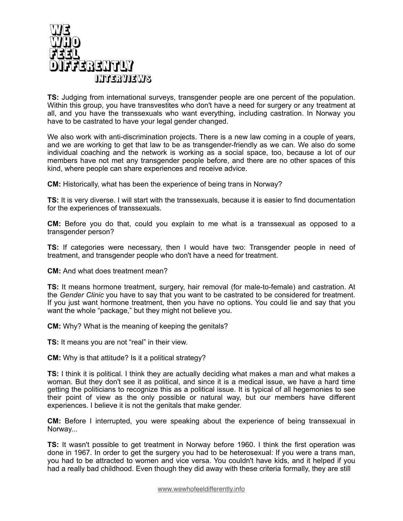

**TS:** Judging from international surveys, transgender people are one percent of the population. Within this group, you have transvestites who don't have a need for surgery or any treatment at all, and you have the transsexuals who want everything, including castration. In Norway you have to be castrated to have your legal gender changed.

We also work with anti-discrimination projects. There is a new law coming in a couple of years, and we are working to get that law to be as transgender-friendly as we can. We also do some individual coaching and the network is working as a social space, too, because a lot of our members have not met any transgender people before, and there are no other spaces of this kind, where people can share experiences and receive advice.

**CM:** Historically, what has been the experience of being trans in Norway?

**TS:** It is very diverse. I will start with the transsexuals, because it is easier to find documentation for the experiences of transsexuals.

**CM:** Before you do that, could you explain to me what is a transsexual as opposed to a transgender person?

**TS:** If categories were necessary, then I would have two: Transgender people in need of treatment, and transgender people who don't have a need for treatment.

**CM:** And what does treatment mean?

**TS:** It means hormone treatment, surgery, hair removal (for male-to-female) and castration. At the *Gender Clinic* you have to say that you want to be castrated to be considered for treatment. If you just want hormone treatment, then you have no options. You could lie and say that you want the whole "package," but they might not believe you.

**CM:** Why? What is the meaning of keeping the genitals?

**TS:** It means you are not "real" in their view.

**CM:** Why is that attitude? Is it a political strategy?

**TS:** I think it is political. I think they are actually deciding what makes a man and what makes a woman. But they don't see it as political, and since it is a medical issue, we have a hard time getting the politicians to recognize this as a political issue. It is typical of all hegemonies to see their point of view as the only possible or natural way, but our members have different experiences. I believe it is not the genitals that make gender.

**CM:** Before I interrupted, you were speaking about the experience of being transsexual in Norway...

**TS:** It wasn't possible to get treatment in Norway before 1960. I think the first operation was done in 1967. In order to get the surgery you had to be heterosexual: If you were a trans man, you had to be attracted to women and vice versa. You couldn't have kids, and it helped if you had a really bad childhood. Even though they did away with these criteria formally, they are still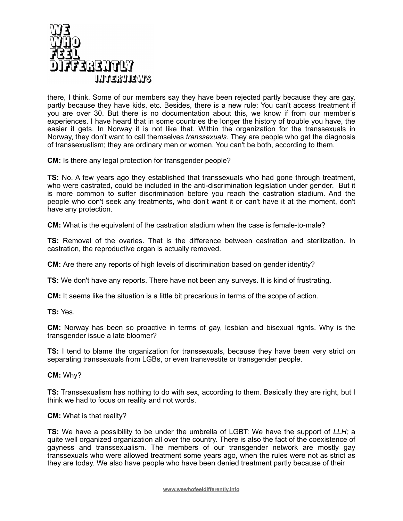

there, I think. Some of our members say they have been rejected partly because they are gay, partly because they have kids, etc. Besides, there is a new rule: You can't access treatment if you are over 30. But there is no documentation about this, we know if from our member's experiences. I have heard that in some countries the longer the history of trouble you have, the easier it gets. In Norway it is not like that. Within the organization for the transsexuals in Norway, they don't want to call themselves *transsexuals*. They are people who get the diagnosis of transsexualism; they are ordinary men or women. You can't be both, according to them.

**CM:** Is there any legal protection for transgender people?

**TS:** No. A few years ago they established that transsexuals who had gone through treatment, who were castrated, could be included in the anti-discrimination legislation under gender. But it is more common to suffer discrimination before you reach the castration stadium. And the people who don't seek any treatments, who don't want it or can't have it at the moment, don't have any protection.

**CM:** What is the equivalent of the castration stadium when the case is female-to-male?

**TS:** Removal of the ovaries. That is the difference between castration and sterilization. In castration, the reproductive organ is actually removed.

**CM:** Are there any reports of high levels of discrimination based on gender identity?

**TS:** We don't have any reports. There have not been any surveys. It is kind of frustrating.

**CM:** It seems like the situation is a little bit precarious in terms of the scope of action.

**TS:** Yes.

**CM:** Norway has been so proactive in terms of gay, lesbian and bisexual rights. Why is the transgender issue a late bloomer?

**TS:** I tend to blame the organization for transsexuals, because they have been very strict on separating transsexuals from LGBs, or even transvestite or transgender people.

**CM:** Why?

**TS:** Transsexualism has nothing to do with sex, according to them. Basically they are right, but I think we had to focus on reality and not words.

**CM:** What is that reality?

**TS:** We have a possibility to be under the umbrella of LGBT: We have the support of *LLH;* a quite well organized organization all over the country. There is also the fact of the coexistence of gayness and transsexualism. The members of our transgender network are mostly gay transsexuals who were allowed treatment some years ago, when the rules were not as strict as they are today. We also have people who have been denied treatment partly because of their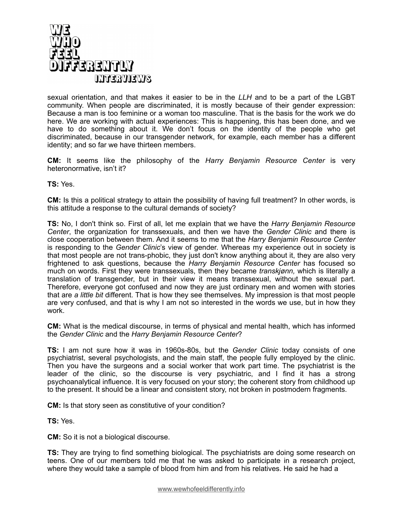

sexual orientation, and that makes it easier to be in the *LLH* and to be a part of the LGBT community. When people are discriminated, it is mostly because of their gender expression: Because a man is too feminine or a woman too masculine. That is the basis for the work we do here. We are working with actual experiences: This is happening, this has been done, and we have to do something about it. We don't focus on the identity of the people who get discriminated, because in our transgender network, for example, each member has a different identity; and so far we have thirteen members.

**CM:** It seems like the philosophy of the *Harry Benjamin Resource Center* is very heteronormative, isn't it?

**TS:** Yes.

**CM:** Is this a political strategy to attain the possibility of having full treatment? In other words, is this attitude a response to the cultural demands of society?

**TS:** No, I don't think so. First of all, let me explain that we have the *Harry Benjamin Resource Center*, the organization for transsexuals, and then we have the *Gender Clinic* and there is close cooperation between them. And it seems to me that the *Harry Benjamin Resource Center* is responding to the *Gender Clinic*'s view of gender. Whereas my experience out in society is that most people are not trans-phobic, they just don't know anything about it, they are also very frightened to ask questions, because the *Harry Benjamin Resource Center* has focused so much on words. First they were transsexuals, then they became *transkjønn,* which is literally a translation of transgender, but in their view it means transsexual, without the sexual part. Therefore, everyone got confused and now they are just ordinary men and women with stories that are *a little bit* different. That is how they see themselves. My impression is that most people are very confused, and that is why I am not so interested in the words we use, but in how they work.

**CM:** What is the medical discourse, in terms of physical and mental health, which has informed the *Gender Clinic* and the *Harry Benjamin Resource Center*?

**TS:** I am not sure how it was in 1960s-80s, but the *Gender Clinic* today consists of one psychiatrist, several psychologists, and the main staff, the people fully employed by the clinic. Then you have the surgeons and a social worker that work part time. The psychiatrist is the leader of the clinic, so the discourse is very psychiatric, and I find it has a strong psychoanalytical influence. It is very focused on your story; the coherent story from childhood up to the present. It should be a linear and consistent story, not broken in postmodern fragments.

**CM:** Is that story seen as constitutive of your condition?

**TS:** Yes.

**CM:** So it is not a biological discourse.

**TS:** They are trying to find something biological. The psychiatrists are doing some research on teens. One of our members told me that he was asked to participate in a research project, where they would take a sample of blood from him and from his relatives. He said he had a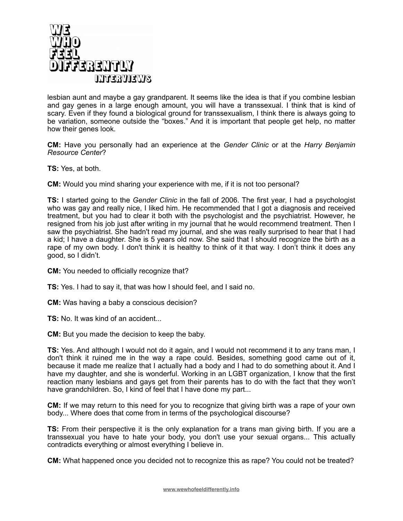

lesbian aunt and maybe a gay grandparent. It seems like the idea is that if you combine lesbian and gay genes in a large enough amount, you will have a transsexual. I think that is kind of scary. Even if they found a biological ground for transsexualism, I think there is always going to be variation, someone outside the "boxes." And it is important that people get help, no matter how their genes look.

**CM:** Have you personally had an experience at the *Gender Clinic* or at the *Harry Benjamin Resource Center*?

**TS:** Yes, at both.

**CM:** Would you mind sharing your experience with me, if it is not too personal?

**TS:** I started going to the *Gender Clinic* in the fall of 2006. The first year, I had a psychologist who was gay and really nice, I liked him. He recommended that I got a diagnosis and received treatment, but you had to clear it both with the psychologist and the psychiatrist. However, he resigned from his job just after writing in my journal that he would recommend treatment. Then I saw the psychiatrist. She hadn't read my journal, and she was really surprised to hear that I had a kid; I have a daughter. She is 5 years old now. She said that I should recognize the birth as a rape of my own body. I don't think it is healthy to think of it that way. I don't think it does any good, so I didn't.

**CM:** You needed to officially recognize that?

**TS:** Yes. I had to say it, that was how I should feel, and I said no.

**CM:** Was having a baby a conscious decision?

**TS:** No. It was kind of an accident...

**CM:** But you made the decision to keep the baby.

**TS:** Yes. And although I would not do it again, and I would not recommend it to any trans man, I don't think it ruined me in the way a rape could. Besides, something good came out of it, because it made me realize that I actually had a body and I had to do something about it. And I have my daughter, and she is wonderful. Working in an LGBT organization, I know that the first reaction many lesbians and gays get from their parents has to do with the fact that they won't have grandchildren. So, I kind of feel that I have done my part...

**CM:** If we may return to this need for you to recognize that giving birth was a rape of your own body... Where does that come from in terms of the psychological discourse?

**TS:** From their perspective it is the only explanation for a trans man giving birth. If you are a transsexual you have to hate your body, you don't use your sexual organs... This actually contradicts everything or almost everything I believe in.

**CM:** What happened once you decided not to recognize this as rape? You could not be treated?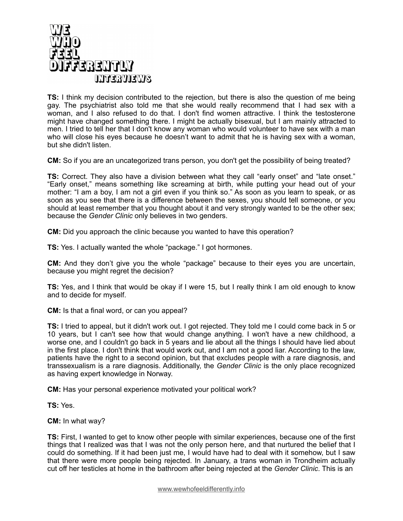

**TS:** I think my decision contributed to the rejection, but there is also the question of me being gay. The psychiatrist also told me that she would really recommend that I had sex with a woman, and I also refused to do that. I don't find women attractive. I think the testosterone might have changed something there. I might be actually bisexual, but I am mainly attracted to men. I tried to tell her that I don't know any woman who would volunteer to have sex with a man who will close his eyes because he doesn't want to admit that he is having sex with a woman, but she didn't listen.

**CM:** So if you are an uncategorized trans person, you don't get the possibility of being treated?

**TS:** Correct. They also have a division between what they call "early onset" and "late onset." "Early onset," means something like screaming at birth, while putting your head out of your mother: "I am a boy, I am not a girl even if you think so." As soon as you learn to speak, or as soon as you see that there is a difference between the sexes, you should tell someone, or you should at least remember that you thought about it and very strongly wanted to be the other sex; because the *Gender Clinic* only believes in two genders.

**CM:** Did you approach the clinic because you wanted to have this operation?

**TS:** Yes. I actually wanted the whole "package." I got hormones.

**CM:** And they don't give you the whole "package" because to their eyes you are uncertain, because you might regret the decision?

**TS:** Yes, and I think that would be okay if I were 15, but I really think I am old enough to know and to decide for myself.

**CM:** Is that a final word, or can you appeal?

**TS:** I tried to appeal, but it didn't work out. I got rejected. They told me I could come back in 5 or 10 years, but I can't see how that would change anything. I won't have a new childhood, a worse one, and I couldn't go back in 5 years and lie about all the things I should have lied about in the first place. I don't think that would work out, and I am not a good liar. According to the law, patients have the right to a second opinion, but that excludes people with a rare diagnosis, and transsexualism is a rare diagnosis. Additionally, the *Gender Clinic* is the only place recognized as having expert knowledge in Norway.

**CM:** Has your personal experience motivated your political work?

**TS:** Yes.

**CM:** In what way?

**TS:** First, I wanted to get to know other people with similar experiences, because one of the first things that I realized was that I was not the only person here, and that nurtured the belief that I could do something. If it had been just me, I would have had to deal with it somehow, but I saw that there were more people being rejected. In January, a trans woman in Trondheim actually cut off her testicles at home in the bathroom after being rejected at the *Gender Clinic*. This is an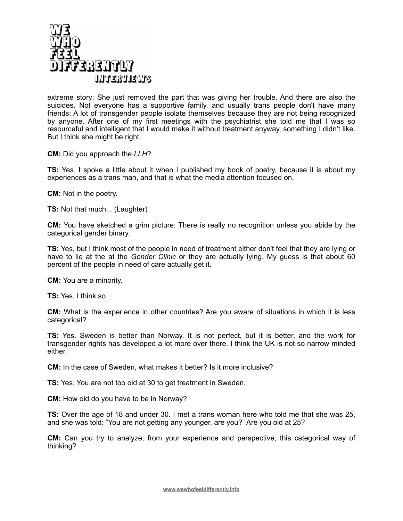

extreme story: She just removed the part that was giving her trouble. And there are also the suicides. Not everyone has a supportive family, and usually trans people don't have many friends: A lot of transgender people isolate themselves because they are not being recognized by anyone. After one of my first meetings with the psychiatrist she told me that I was so resourceful and intelligent that I would make it without treatment anyway, something I didn't like. But I think she might be right.

**CM:** Did you approach the *LLH*?

**TS:** Yes. I spoke a little about it when I published my book of poetry, because it is about my experiences as a trans man, and that is what the media attention focused on.

**CM:** Not in the poetry.

**TS:** Not that much... (Laughter)

**CM:** You have sketched a grim picture: There is really no recognition unless you abide by the categorical gender binary.

**TS:** Yes, but I think most of the people in need of treatment either don't feel that they are lying or have to lie at the at the *Gender Clinic* or they are actually lying. My guess is that about 60 percent of the people in need of care actually get it.

**CM:** You are a minority.

**TS:** Yes, I think so.

**CM:** What is the experience in other countries? Are you aware of situations in which it is less categorical?

**TS:** Yes. Sweden is better than Norway. It is not perfect, but it is better, and the work for transgender rights has developed a lot more over there. I think the UK is not so narrow minded either.

**CM:** In the case of Sweden, what makes it better? Is it more inclusive?

**TS:** Yes. You are not too old at 30 to get treatment in Sweden.

**CM:** How old do you have to be in Norway?

**TS:** Over the age of 18 and under 30. I met a trans woman here who told me that she was 25, and she was told: "You are not getting any younger, are you?" Are you old at 25?

**CM:** Can you try to analyze, from your experience and perspective, this categorical way of thinking?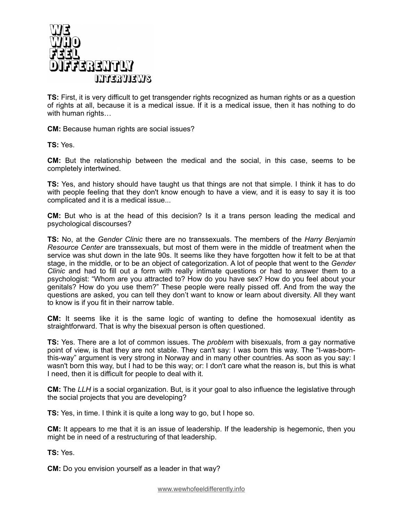

**TS:** First, it is very difficult to get transgender rights recognized as human rights or as a question of rights at all, because it is a medical issue. If it is a medical issue, then it has nothing to do with human rights…

**CM:** Because human rights are social issues?

**TS:** Yes.

**CM:** But the relationship between the medical and the social, in this case, seems to be completely intertwined.

**TS:** Yes, and history should have taught us that things are not that simple. I think it has to do with people feeling that they don't know enough to have a view, and it is easy to say it is too complicated and it is a medical issue...

**CM:** But who is at the head of this decision? Is it a trans person leading the medical and psychological discourses?

**TS:** No, at the *Gender Clinic* there are no transsexuals. The members of the *Harry Benjamin Resource Center* are transsexuals, but most of them were in the middle of treatment when the service was shut down in the late 90s. It seems like they have forgotten how it felt to be at that stage, in the middle, or to be an object of categorization. A lot of people that went to the *Gender Clinic* and had to fill out a form with really intimate questions or had to answer them to a psychologist: "Whom are you attracted to? How do you have sex? How do you feel about your genitals? How do you use them?" These people were really pissed off. And from the way the questions are asked, you can tell they don't want to know or learn about diversity. All they want to know is if you fit in their narrow table.

**CM:** It seems like it is the same logic of wanting to define the homosexual identity as straightforward. That is why the bisexual person is often questioned.

**TS:** Yes. There are a lot of common issues. The *problem* with bisexuals, from a gay normative point of view, is that they are not stable. They can't say: I was born this way. The "I-was-bornthis-way" argument is very strong in Norway and in many other countries. As soon as you say: I wasn't born this way, but I had to be this way; or: I don't care what the reason is, but this is what I need, then it is difficult for people to deal with it.

**CM:** The *LLH* is a social organization. But, is it your goal to also influence the legislative through the social projects that you are developing?

**TS:** Yes, in time. I think it is quite a long way to go, but I hope so.

**CM:** It appears to me that it is an issue of leadership. If the leadership is hegemonic, then you might be in need of a restructuring of that leadership.

**TS:** Yes.

**CM:** Do you envision yourself as a leader in that way?